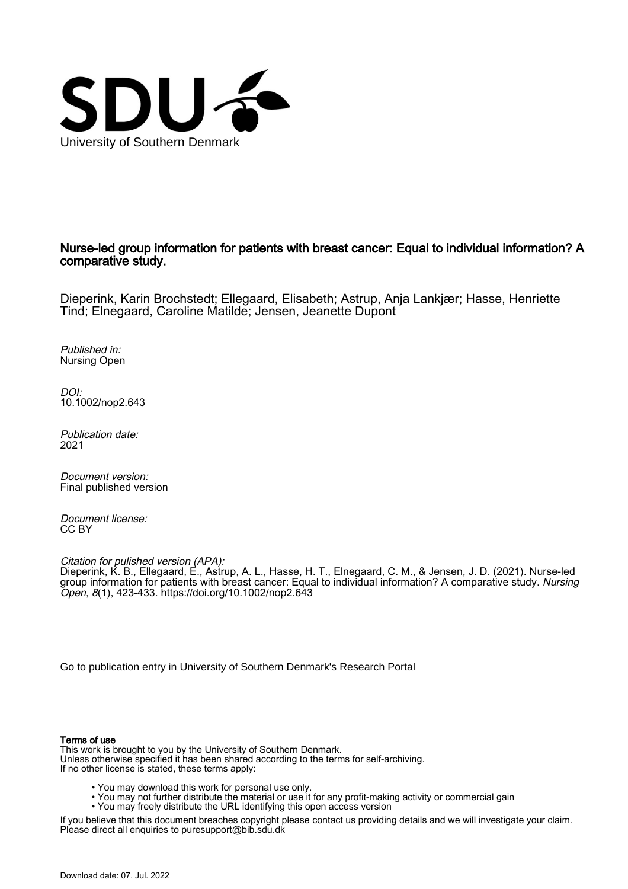

# Nurse-led group information for patients with breast cancer: Equal to individual information? A comparative study.

Dieperink, Karin Brochstedt; Ellegaard, Elisabeth; Astrup, Anja Lankjær; Hasse, Henriette Tind; Elnegaard, Caroline Matilde; Jensen, Jeanette Dupont

Published in: Nursing Open

DOI: [10.1002/nop2.643](https://doi.org/10.1002/nop2.643)

Publication date: 2021

Document version: Final published version

Document license: CC BY

Citation for pulished version (APA): Dieperink, K. B., Ellegaard, E., Astrup, A. L., Hasse, H. T., Elnegaard, C. M., & Jensen, J. D. (2021). Nurse-led group information for patients with breast cancer: Equal to individual information? A comparative study. Nursing Open, 8(1), 423-433. <https://doi.org/10.1002/nop2.643>

[Go to publication entry in University of Southern Denmark's Research Portal](https://portal.findresearcher.sdu.dk/en/publications/0607dbef-2fc9-41be-ae8d-6b4fc00cb582)

# Terms of use

This work is brought to you by the University of Southern Denmark. Unless otherwise specified it has been shared according to the terms for self-archiving. If no other license is stated, these terms apply:

- You may download this work for personal use only.
- You may not further distribute the material or use it for any profit-making activity or commercial gain
	- You may freely distribute the URL identifying this open access version

If you believe that this document breaches copyright please contact us providing details and we will investigate your claim. Please direct all enquiries to puresupport@bib.sdu.dk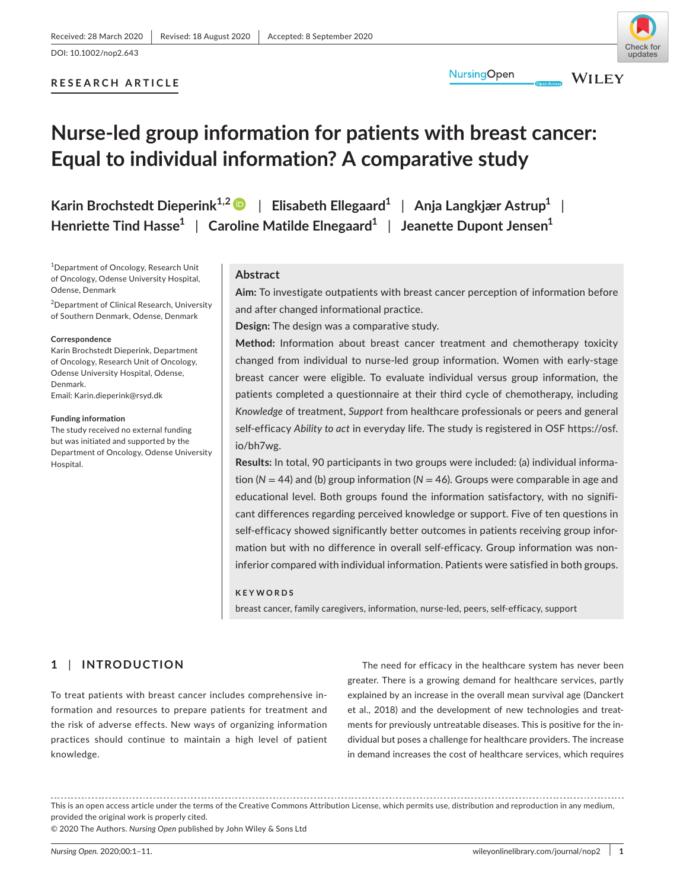# undates

# **RESEARCH ARTICLE**

**WILEY** 

# **Nurse-led group information for patients with breast cancer: Equal to individual information? A comparative study**

**Karin Brochstedt Dieperink1,2** | **Elisabeth Ellegaard1** | **Anja Langkjær Astrup1** | **Henriette Tind Hasse1** | **Caroline Matilde Elnegaard1** | **Jeanette Dupont Jensen1**

1 Department of Oncology, Research Unit of Oncology, Odense University Hospital, Odense, Denmark

<sup>2</sup>Department of Clinical Research, University of Southern Denmark, Odense, Denmark

#### **Correspondence**

Karin Brochstedt Dieperink, Department of Oncology, Research Unit of Oncology, Odense University Hospital, Odense, Denmark. Email: [Karin.dieperink@rsyd.dk](mailto:Karin.dieperink@rsyd.dk)

#### **Funding information**

The study received no external funding but was initiated and supported by the Department of Oncology, Odense University Hospital.

# **Abstract**

**Aim:** To investigate outpatients with breast cancer perception of information before and after changed informational practice.

**Design:** The design was a comparative study.

**Method:** Information about breast cancer treatment and chemotherapy toxicity changed from individual to nurse-led group information. Women with early-stage breast cancer were eligible. To evaluate individual versus group information, the patients completed a questionnaire at their third cycle of chemotherapy, including *Knowledge* of treatment, *Support* from healthcare professionals or peers and general self-efficacy *Ability to act* in everyday life. The study is registered in OSF [https://osf.](https://osf.io/bh7wg) [io/bh7wg](https://osf.io/bh7wg).

**Results:** In total, 90 participants in two groups were included: (a) individual information (*N* = 44) and (b) group information (*N* = 46). Groups were comparable in age and educational level. Both groups found the information satisfactory, with no significant differences regarding perceived knowledge or support. Five of ten questions in self-efficacy showed significantly better outcomes in patients receiving group information but with no difference in overall self-efficacy. Group information was noninferior compared with individual information. Patients were satisfied in both groups.

#### **KEYWORDS**

breast cancer, family caregivers, information, nurse-led, peers, self-efficacy, support

# **1** | **INTRODUCTION**

To treat patients with breast cancer includes comprehensive information and resources to prepare patients for treatment and the risk of adverse effects. New ways of organizing information practices should continue to maintain a high level of patient knowledge.

The need for efficacy in the healthcare system has never been greater. There is a growing demand for healthcare services, partly explained by an increase in the overall mean survival age (Danckert et al., 2018) and the development of new technologies and treatments for previously untreatable diseases. This is positive for the individual but poses a challenge for healthcare providers. The increase in demand increases the cost of healthcare services, which requires

This is an open access article under the terms of the [Creative Commons Attribution](http://creativecommons.org/licenses/by/4.0/) License, which permits use, distribution and reproduction in any medium, provided the original work is properly cited.

© 2020 The Authors. *Nursing Open* published by John Wiley & Sons Ltd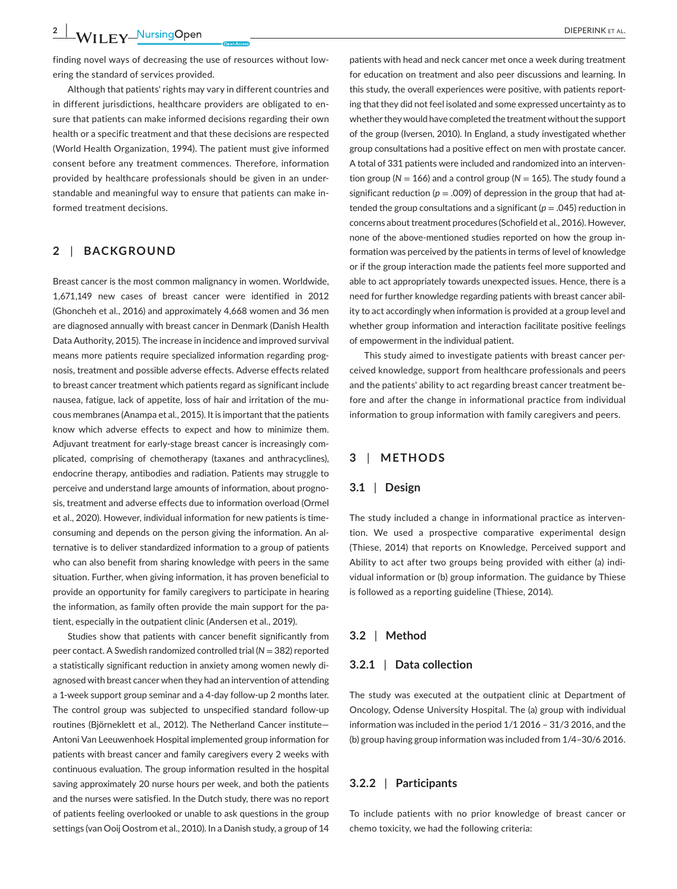finding novel ways of decreasing the use of resources without lowering the standard of services provided.

Although that patients' rights may vary in different countries and in different jurisdictions, healthcare providers are obligated to ensure that patients can make informed decisions regarding their own health or a specific treatment and that these decisions are respected (World Health Organization, 1994). The patient must give informed consent before any treatment commences. Therefore, information provided by healthcare professionals should be given in an understandable and meaningful way to ensure that patients can make informed treatment decisions.

# **2** | **BACKGROUND**

Breast cancer is the most common malignancy in women. Worldwide, 1,671,149 new cases of breast cancer were identified in 2012 (Ghoncheh et al., 2016) and approximately 4,668 women and 36 men are diagnosed annually with breast cancer in Denmark (Danish Health Data Authority, 2015). The increase in incidence and improved survival means more patients require specialized information regarding prognosis, treatment and possible adverse effects. Adverse effects related to breast cancer treatment which patients regard as significant include nausea, fatigue, lack of appetite, loss of hair and irritation of the mucous membranes (Anampa et al., 2015). It is important that the patients know which adverse effects to expect and how to minimize them. Adjuvant treatment for early-stage breast cancer is increasingly complicated, comprising of chemotherapy (taxanes and anthracyclines), endocrine therapy, antibodies and radiation. Patients may struggle to perceive and understand large amounts of information, about prognosis, treatment and adverse effects due to information overload (Ormel et al., 2020). However, individual information for new patients is timeconsuming and depends on the person giving the information. An alternative is to deliver standardized information to a group of patients who can also benefit from sharing knowledge with peers in the same situation. Further, when giving information, it has proven beneficial to provide an opportunity for family caregivers to participate in hearing the information, as family often provide the main support for the patient, especially in the outpatient clinic (Andersen et al., 2019).

Studies show that patients with cancer benefit significantly from peer contact. A Swedish randomized controlled trial (*N* = 382) reported a statistically significant reduction in anxiety among women newly diagnosed with breast cancer when they had an intervention of attending a 1-week support group seminar and a 4-day follow-up 2 months later. The control group was subjected to unspecified standard follow-up routines (Björneklett et al., 2012). The Netherland Cancer institute— Antoni Van Leeuwenhoek Hospital implemented group information for patients with breast cancer and family caregivers every 2 weeks with continuous evaluation. The group information resulted in the hospital saving approximately 20 nurse hours per week, and both the patients and the nurses were satisfied. In the Dutch study, there was no report of patients feeling overlooked or unable to ask questions in the group settings (van Ooij Oostrom et al., 2010). In a Danish study, a group of 14

patients with head and neck cancer met once a week during treatment for education on treatment and also peer discussions and learning. In this study, the overall experiences were positive, with patients reporting that they did not feel isolated and some expressed uncertainty as to whether they would have completed the treatment without the support of the group (Iversen, 2010). In England, a study investigated whether group consultations had a positive effect on men with prostate cancer. A total of 331 patients were included and randomized into an intervention group ( $N = 166$ ) and a control group ( $N = 165$ ). The study found a significant reduction ( $p = .009$ ) of depression in the group that had attended the group consultations and a significant  $(p = .045)$  reduction in concerns about treatment procedures (Schofield et al., 2016). However, none of the above-mentioned studies reported on how the group information was perceived by the patients in terms of level of knowledge or if the group interaction made the patients feel more supported and able to act appropriately towards unexpected issues. Hence, there is a need for further knowledge regarding patients with breast cancer ability to act accordingly when information is provided at a group level and whether group information and interaction facilitate positive feelings of empowerment in the individual patient.

This study aimed to investigate patients with breast cancer perceived knowledge, support from healthcare professionals and peers and the patients' ability to act regarding breast cancer treatment before and after the change in informational practice from individual information to group information with family caregivers and peers.

# **3** | **METHODS**

# **3.1** | **Design**

The study included a change in informational practice as intervention. We used a prospective comparative experimental design (Thiese, 2014) that reports on Knowledge, Perceived support and Ability to act after two groups being provided with either (a) individual information or (b) group information. The guidance by Thiese is followed as a reporting guideline (Thiese, 2014).

# **3.2** | **Method**

### **3.2.1** | **Data collection**

The study was executed at the outpatient clinic at Department of Oncology, Odense University Hospital. The (a) group with individual information was included in the period 1/1 2016 – 31/3 2016, and the (b) group having group information was included from 1/4–30/6 2016.

# **3.2.2** | **Participants**

To include patients with no prior knowledge of breast cancer or chemo toxicity, we had the following criteria: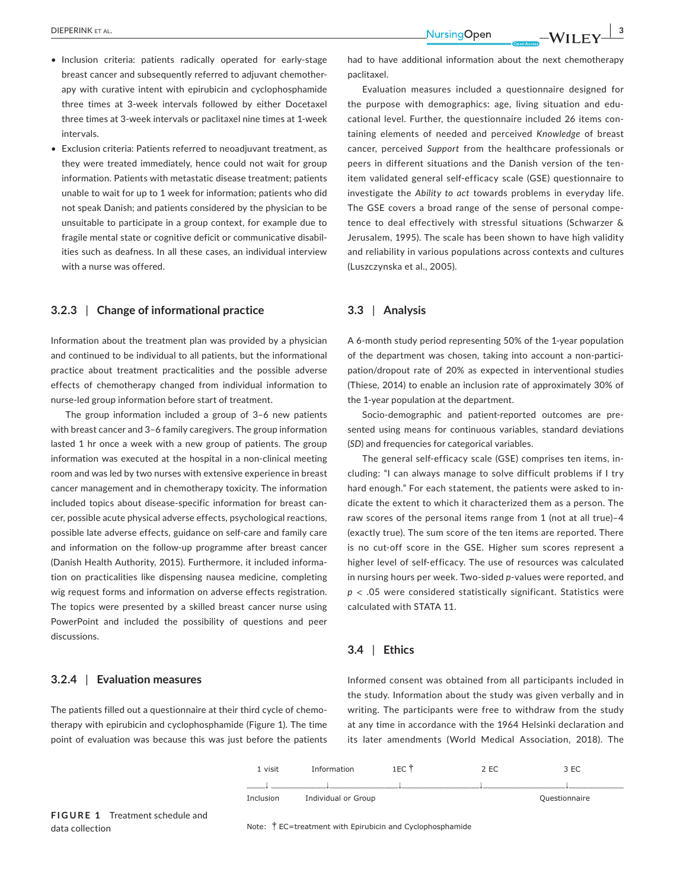- Inclusion criteria: patients radically operated for early-stage breast cancer and subsequently referred to adjuvant chemotherapy with curative intent with epirubicin and cyclophosphamide three times at 3-week intervals followed by either Docetaxel three times at 3-week intervals or paclitaxel nine times at 1-week intervals.
- Exclusion criteria: Patients referred to neoadjuvant treatment, as they were treated immediately, hence could not wait for group information. Patients with metastatic disease treatment; patients unable to wait for up to 1 week for information; patients who did not speak Danish; and patients considered by the physician to be unsuitable to participate in a group context, for example due to fragile mental state or cognitive deficit or communicative disabilities such as deafness. In all these cases, an individual interview with a nurse was offered.

# **3.2.3** | **Change of informational practice**

Information about the treatment plan was provided by a physician and continued to be individual to all patients, but the informational practice about treatment practicalities and the possible adverse effects of chemotherapy changed from individual information to nurse-led group information before start of treatment.

The group information included a group of 3–6 new patients with breast cancer and 3–6 family caregivers. The group information lasted 1 hr once a week with a new group of patients. The group information was executed at the hospital in a non-clinical meeting room and was led by two nurses with extensive experience in breast cancer management and in chemotherapy toxicity. The information included topics about disease-specific information for breast cancer, possible acute physical adverse effects, psychological reactions, possible late adverse effects, guidance on self-care and family care and information on the follow-up programme after breast cancer (Danish Health Authority, 2015). Furthermore, it included information on practicalities like dispensing nausea medicine, completing wig request forms and information on adverse effects registration. The topics were presented by a skilled breast cancer nurse using PowerPoint and included the possibility of questions and peer discussions.

# **3.2.4** | **Evaluation measures**

The patients filled out a questionnaire at their third cycle of chemotherapy with epirubicin and cyclophosphamide (Figure 1). The time point of evaluation was because this was just before the patients had to have additional information about the next chemotherapy paclitaxel.

Evaluation measures included a questionnaire designed for the purpose with demographics: age, living situation and educational level. Further, the questionnaire included 26 items containing elements of needed and perceived *Knowledge* of breast cancer, perceived *Support* from the healthcare professionals or peers in different situations and the Danish version of the tenitem validated general self-efficacy scale (GSE) questionnaire to investigate the *Ability to act* towards problems in everyday life. The GSE covers a broad range of the sense of personal competence to deal effectively with stressful situations (Schwarzer & Jerusalem, 1995). The scale has been shown to have high validity and reliability in various populations across contexts and cultures (Luszczynska et al., 2005).

# **3.3** | **Analysis**

A 6-month study period representing 50% of the 1-year population of the department was chosen, taking into account a non-participation/dropout rate of 20% as expected in interventional studies (Thiese, 2014) to enable an inclusion rate of approximately 30% of the 1-year population at the department.

Socio-demographic and patient-reported outcomes are presented using means for continuous variables, standard deviations (*SD*) and frequencies for categorical variables.

The general self-efficacy scale (GSE) comprises ten items, including: "I can always manage to solve difficult problems if I try hard enough." For each statement, the patients were asked to indicate the extent to which it characterized them as a person. The raw scores of the personal items range from 1 (not at all true)–4 (exactly true). The sum score of the ten items are reported. There is no cut-off score in the GSE. Higher sum scores represent a higher level of self-efficacy. The use of resources was calculated in nursing hours per week. Two-sided *p*-values were reported, and *p* < .05 were considered statistically significant. Statistics were calculated with STATA 11.

# **3.4** | **Ethics**

Informed consent was obtained from all participants included in the study. Information about the study was given verbally and in writing. The participants were free to withdraw from the study at any time in accordance with the 1964 Helsinki declaration and its later amendments (World Medical Association, 2018). The

| 1 visit   | Information         | 1EC T | 2 EC |               | 3 EC |  |
|-----------|---------------------|-------|------|---------------|------|--|
|           |                     |       |      |               |      |  |
| Inclusion | Individual or Group |       |      | Questionnaire |      |  |

Note:  $\dot{\uparrow}$  EC=treatment with Epirubicin and Cyclophosphamide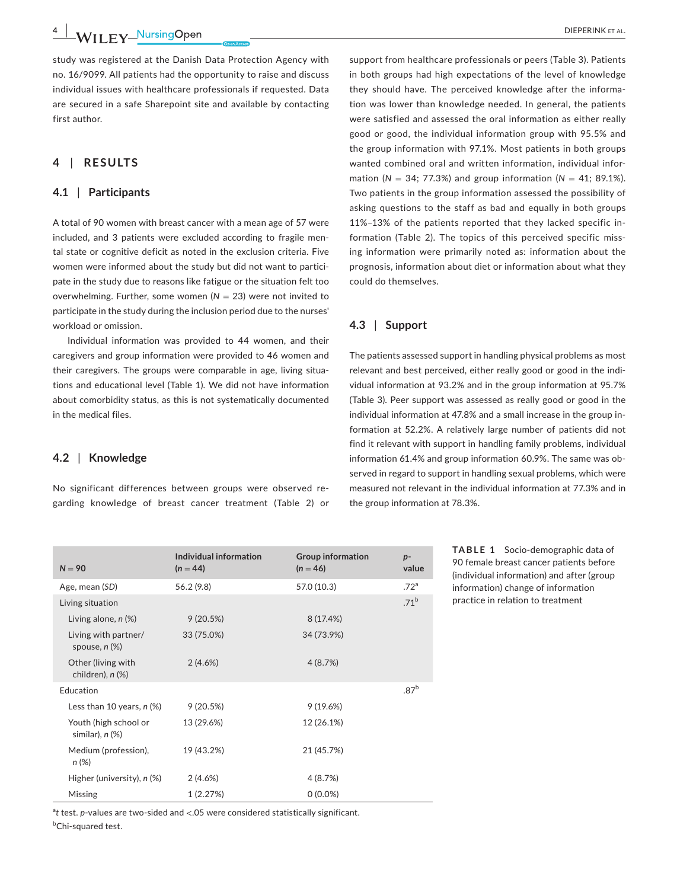**4 |**  DIEPERINK et al.

study was registered at the Danish Data Protection Agency with no. 16/9099. All patients had the opportunity to raise and discuss individual issues with healthcare professionals if requested. Data are secured in a safe Sharepoint site and available by contacting first author.

# **4** | **RESULTS**

# **4.1** | **Participants**

A total of 90 women with breast cancer with a mean age of 57 were included, and 3 patients were excluded according to fragile mental state or cognitive deficit as noted in the exclusion criteria. Five women were informed about the study but did not want to participate in the study due to reasons like fatigue or the situation felt too overwhelming. Further, some women  $(N = 23)$  were not invited to participate in the study during the inclusion period due to the nurses' workload or omission.

Individual information was provided to 44 women, and their caregivers and group information were provided to 46 women and their caregivers. The groups were comparable in age, living situations and educational level (Table 1). We did not have information about comorbidity status, as this is not systematically documented in the medical files.

# **4.2** | **Knowledge**

No significant differences between groups were observed regarding knowledge of breast cancer treatment (Table 2) or

support from healthcare professionals or peers (Table 3). Patients in both groups had high expectations of the level of knowledge they should have. The perceived knowledge after the information was lower than knowledge needed. In general, the patients were satisfied and assessed the oral information as either really good or good, the individual information group with 95.5% and the group information with 97.1%. Most patients in both groups wanted combined oral and written information, individual information ( $N = 34$ ; 77.3%) and group information ( $N = 41$ ; 89.1%). Two patients in the group information assessed the possibility of asking questions to the staff as bad and equally in both groups 11%–13% of the patients reported that they lacked specific information (Table 2). The topics of this perceived specific missing information were primarily noted as: information about the prognosis, information about diet or information about what they could do themselves.

# **4.3** | **Support**

The patients assessed support in handling physical problems as most relevant and best perceived, either really good or good in the individual information at 93.2% and in the group information at 95.7% (Table 3). Peer support was assessed as really good or good in the individual information at 47.8% and a small increase in the group information at 52.2%. A relatively large number of patients did not find it relevant with support in handling family problems, individual information 61.4% and group information 60.9%. The same was observed in regard to support in handling sexual problems, which were measured not relevant in the individual information at 77.3% and in the group information at 78.3%.

| $N = 90$                                      | Individual information<br>$(n = 44)$ | <b>Group information</b><br>$(n = 46)$ | $p-$<br>value    |
|-----------------------------------------------|--------------------------------------|----------------------------------------|------------------|
| Age, mean (SD)                                | 56.2(9.8)                            | 57.0 (10.3)                            | .72 <sup>a</sup> |
| Living situation                              |                                      |                                        | .71 <sup>b</sup> |
| Living alone, $n$ $(\%)$                      | 9(20.5%)                             | 8 (17.4%)                              |                  |
| Living with partner/<br>spouse, $n$ $%$       | 33 (75.0%)                           | 34 (73.9%)                             |                  |
| Other (living with<br>children), n (%)        | 2(4.6%)                              | 4(8.7%)                                |                  |
| Education                                     |                                      |                                        | .87 <sup>b</sup> |
| Less than 10 years, $n$ (%)                   | 9(20.5%)                             | 9(19.6%)                               |                  |
| Youth (high school or<br>similar), $n$ $(\%)$ | 13 (29.6%)                           | 12 (26.1%)                             |                  |
| Medium (profession),<br>$n (\%)$              | 19 (43.2%)                           | 21 (45.7%)                             |                  |
| Higher (university), n (%)                    | 2(4.6%)                              | 4(8.7%)                                |                  |
| Missing                                       | 1(2.27%)                             | $0(0.0\%)$                             |                  |

<sup>a</sup>t test. *p*-values are two-sided and <.05 were considered statistically significant. <sup>b</sup>Chi-squared test.

**TABLE 1** Socio-demographic data of 90 female breast cancer patients before (individual information) and after (group information) change of information practice in relation to treatment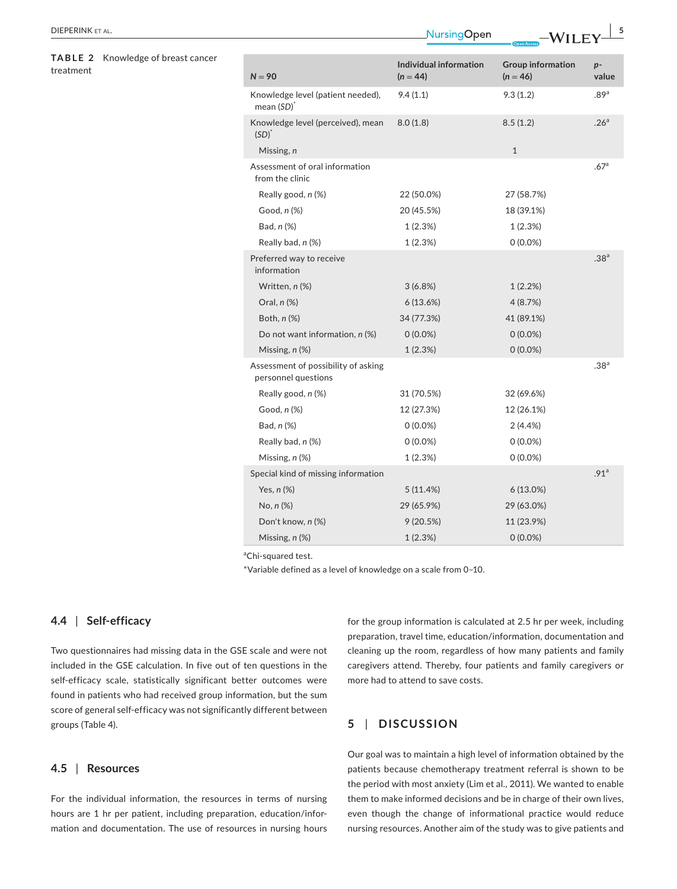| DIEPERINK FT AL. |  |
|------------------|--|
|------------------|--|

# **TABLE 2** Knowledge of breast cancer treatment

| $N = 90$                                                   | Individual information<br>$(n = 44)$ | <b>Group information</b><br>$(n = 46)$ | $p -$<br>value   |
|------------------------------------------------------------|--------------------------------------|----------------------------------------|------------------|
| Knowledge level (patient needed),<br>$mean(SD)^*$          | 9.4(1.1)                             | 9.3(1.2)                               | .89 <sup>a</sup> |
| Knowledge level (perceived), mean<br>$(SD)^*$              | 8.0(1.8)                             | 8.5(1.2)                               | .26 <sup>a</sup> |
| Missing, n                                                 |                                      | $\mathbf{1}$                           |                  |
| Assessment of oral information<br>from the clinic          |                                      |                                        | .67 <sup>a</sup> |
| Really good, n (%)                                         | 22 (50.0%)                           | 27 (58.7%)                             |                  |
| Good, $n$ $%$                                              | 20 (45.5%)                           | 18 (39.1%)                             |                  |
| Bad, n (%)                                                 | 1(2.3%)                              | 1(2.3%)                                |                  |
| Really bad, n (%)                                          | 1(2.3%)                              | $0(0.0\%)$                             |                  |
| Preferred way to receive<br>information                    |                                      |                                        | .38 <sup>a</sup> |
| Written, n (%)                                             | 3(6.8%)                              | 1(2.2%)                                |                  |
| Oral, $n$ $%$                                              | 6(13.6%)                             | 4(8.7%)                                |                  |
| Both, $n$ $%$                                              | 34 (77.3%)                           | 41 (89.1%)                             |                  |
| Do not want information, n (%)                             | $0(0.0\%)$                           | $0(0.0\%)$                             |                  |
| Missing, $n$ $(\%)$                                        | 1(2.3%)                              | $0(0.0\%)$                             |                  |
| Assessment of possibility of asking<br>personnel questions |                                      |                                        | .38 <sup>a</sup> |
| Really good, n (%)                                         | 31 (70.5%)                           | 32 (69.6%)                             |                  |
| Good, n (%)                                                | 12 (27.3%)                           | 12 (26.1%)                             |                  |
| Bad, n (%)                                                 | $0(0.0\%)$                           | 2(4.4%)                                |                  |
| Really bad, n (%)                                          | $0(0.0\%)$                           | $0(0.0\%)$                             |                  |
| Missing, $n$ $(\%)$                                        | 1(2.3%)                              | $0(0.0\%)$                             |                  |
| Special kind of missing information                        |                                      |                                        | .91 <sup>a</sup> |
| Yes, $n$ $%$                                               | 5(11.4%)                             | $6(13.0\%)$                            |                  |
| $No, n (\%)$                                               | 29 (65.9%)                           | 29 (63.0%)                             |                  |
| Don't know, n (%)                                          | 9(20.5%)                             | 11 (23.9%)                             |                  |
| Missing, n (%)                                             | 1(2.3%)                              | $0(0.0\%)$                             |                  |

 **|** DIEPERINK et al. **5**

<sup>a</sup>Chi-squared test.

\*Variable defined as a level of knowledge on a scale from 0–10.

# **4.4** | **Self-efficacy**

Two questionnaires had missing data in the GSE scale and were not included in the GSE calculation. In five out of ten questions in the self-efficacy scale, statistically significant better outcomes were found in patients who had received group information, but the sum score of general self-efficacy was not significantly different between groups (Table 4).

# **4.5** | **Resources**

For the individual information, the resources in terms of nursing hours are 1 hr per patient, including preparation, education/information and documentation. The use of resources in nursing hours for the group information is calculated at 2.5 hr per week, including preparation, travel time, education/information, documentation and cleaning up the room, regardless of how many patients and family caregivers attend. Thereby, four patients and family caregivers or more had to attend to save costs.

# **5** | **DISCUSSION**

Our goal was to maintain a high level of information obtained by the patients because chemotherapy treatment referral is shown to be the period with most anxiety (Lim et al., 2011). We wanted to enable them to make informed decisions and be in charge of their own lives, even though the change of informational practice would reduce nursing resources. Another aim of the study was to give patients and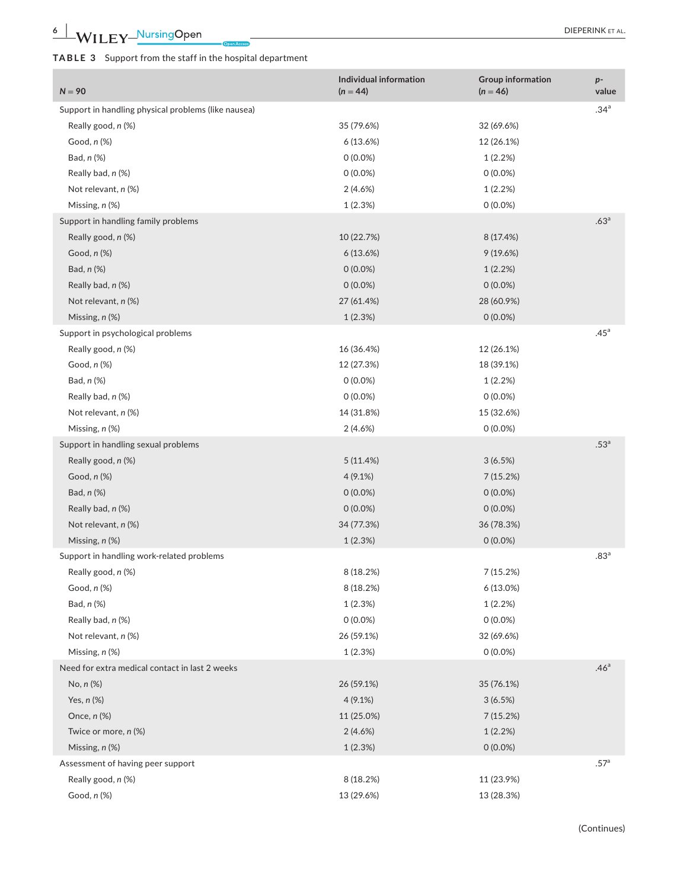| $N = 90$                                            | Individual information<br>$(n = 44)$ | <b>Group information</b><br>$(n = 46)$ | $p-$<br>value    |
|-----------------------------------------------------|--------------------------------------|----------------------------------------|------------------|
| Support in handling physical problems (like nausea) |                                      |                                        | .34 <sup>a</sup> |
| Really good, n (%)                                  | 35 (79.6%)                           | 32 (69.6%)                             |                  |
| Good, $n$ $%$                                       | 6(13.6%)                             | 12 (26.1%)                             |                  |
| Bad, n (%)                                          | $0(0.0\%)$                           | 1(2.2%)                                |                  |
| Really bad, n (%)                                   | $0(0.0\%)$                           | $0(0.0\%)$                             |                  |
| Not relevant, n (%)                                 | 2(4.6%)                              | 1(2.2%)                                |                  |
| Missing, n (%)                                      | 1(2.3%)                              | $0(0.0\%)$                             |                  |
| Support in handling family problems                 |                                      |                                        | .63 <sup>a</sup> |
| Really good, n (%)                                  | 10 (22.7%)                           | 8 (17.4%)                              |                  |
| Good, $n$ $%$                                       | 6(13.6%)                             | 9(19.6%)                               |                  |
| Bad, n (%)                                          | $0(0.0\%)$                           | 1(2.2%)                                |                  |
| Really bad, n (%)                                   | $0(0.0\%)$                           | $0(0.0\%)$                             |                  |
| Not relevant, n (%)                                 | 27 (61.4%)                           | 28 (60.9%)                             |                  |
| Missing, n (%)                                      | 1(2.3%)                              | $0(0.0\%)$                             |                  |
| Support in psychological problems                   |                                      |                                        | .45 <sup>a</sup> |
| Really good, n (%)                                  | 16 (36.4%)                           | 12 (26.1%)                             |                  |
| Good, n (%)                                         | 12 (27.3%)                           | 18 (39.1%)                             |                  |
| Bad, n (%)                                          | $0(0.0\%)$                           | 1(2.2%)                                |                  |
| Really bad, n (%)                                   | $0(0.0\%)$                           | $0(0.0\%)$                             |                  |
| Not relevant, n (%)                                 | 14 (31.8%)                           | 15 (32.6%)                             |                  |
| Missing, $n$ $(\%)$                                 | 2(4.6%)                              | $0(0.0\%)$                             |                  |
| Support in handling sexual problems                 |                                      |                                        | .53 <sup>a</sup> |
| Really good, n (%)                                  | 5(11.4%)                             | 3(6.5%)                                |                  |
| Good, n (%)                                         | $4(9.1\%)$                           | 7(15.2%)                               |                  |
| Bad, n (%)                                          | $0(0.0\%)$                           | $0(0.0\%)$                             |                  |
| Really bad, n (%)                                   | $0(0.0\%)$                           | $0(0.0\%)$                             |                  |
| Not relevant, n (%)                                 | 34 (77.3%)                           | 36 (78.3%)                             |                  |
| Missing, n (%)                                      | 1(2.3%)                              | $0(0.0\%)$                             |                  |
| Support in handling work-related problems           |                                      |                                        | .83 <sup>a</sup> |
| Really good, n (%)                                  | 8(18.2%)                             | 7(15.2%)                               |                  |
| Good, n (%)                                         | 8 (18.2%)                            | 6(13.0%)                               |                  |
| Bad, n (%)                                          | 1(2.3%)                              | 1(2.2%)                                |                  |
| Really bad, n (%)                                   | $0(0.0\%)$                           | $0(0.0\%)$                             |                  |
| Not relevant, n (%)                                 | 26 (59.1%)                           | 32 (69.6%)                             |                  |
| Missing, n (%)                                      | 1(2.3%)                              | $0(0.0\%)$                             |                  |
| Need for extra medical contact in last 2 weeks      |                                      |                                        | .46 <sup>a</sup> |
| $No, n (\%)$                                        | 26 (59.1%)                           | 35 (76.1%)                             |                  |
| Yes, $n$ $%$                                        | $4(9.1\%)$                           | 3(6.5%)                                |                  |
| Once, n (%)                                         | 11 (25.0%)                           | 7(15.2%)                               |                  |
| Twice or more, n (%)                                | 2(4.6%)                              | 1(2.2%)                                |                  |
| Missing, n (%)                                      | 1(2.3%)                              | $0(0.0\%)$                             |                  |
| Assessment of having peer support                   |                                      |                                        | .57 <sup>a</sup> |
| Really good, n (%)                                  | 8 (18.2%)                            | 11 (23.9%)                             |                  |
| Good, n (%)                                         | 13 (29.6%)                           | 13 (28.3%)                             |                  |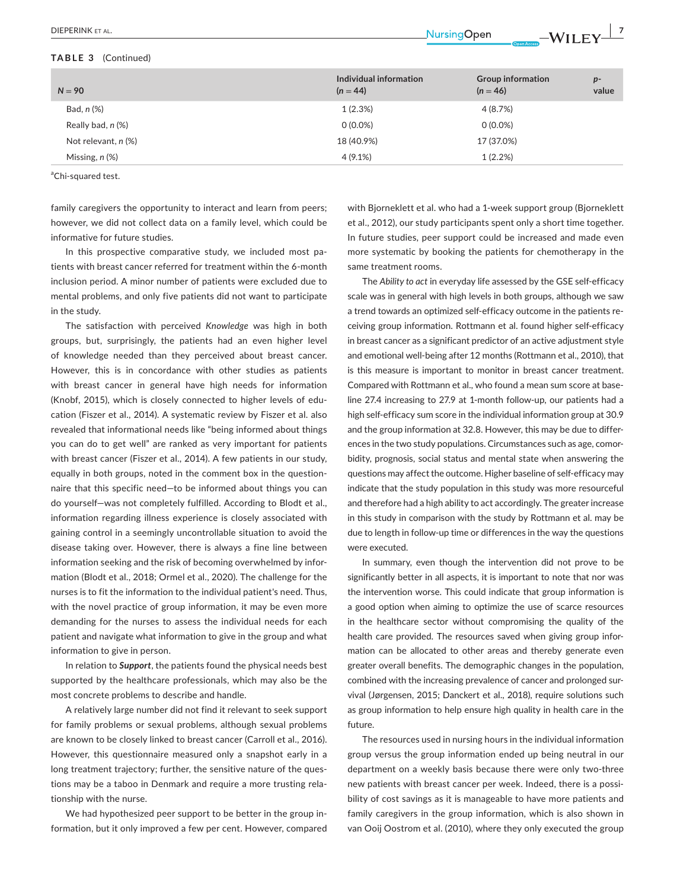#### **TABLE 3** (Continued)

| $N = 90$            | Individual information<br>$(n = 44)$ | <b>Group information</b><br>$(n = 46)$ | $p-$<br>value |
|---------------------|--------------------------------------|----------------------------------------|---------------|
| Bad, n (%)          | 1(2.3%)                              | 4 (8.7%)                               |               |
| Really bad, n (%)   | $0(0.0\%)$                           | $0(0.0\%)$                             |               |
| Not relevant, n (%) | 18 (40.9%)                           | 17 (37.0%)                             |               |
| Missing, $n$ $%$    | 4(9.1%)                              | 1(2.2%)                                |               |

<sup>a</sup>Chi-squared test.

family caregivers the opportunity to interact and learn from peers; however, we did not collect data on a family level, which could be informative for future studies.

In this prospective comparative study, we included most patients with breast cancer referred for treatment within the 6-month inclusion period. A minor number of patients were excluded due to mental problems, and only five patients did not want to participate in the study.

The satisfaction with perceived *Knowledge* was high in both groups, but, surprisingly, the patients had an even higher level of knowledge needed than they perceived about breast cancer. However, this is in concordance with other studies as patients with breast cancer in general have high needs for information (Knobf, 2015), which is closely connected to higher levels of education (Fiszer et al., 2014). A systematic review by Fiszer et al. also revealed that informational needs like "being informed about things you can do to get well" are ranked as very important for patients with breast cancer (Fiszer et al., 2014). A few patients in our study, equally in both groups, noted in the comment box in the questionnaire that this specific need—to be informed about things you can do yourself—was not completely fulfilled. According to Blodt et al., information regarding illness experience is closely associated with gaining control in a seemingly uncontrollable situation to avoid the disease taking over. However, there is always a fine line between information seeking and the risk of becoming overwhelmed by information (Blodt et al., 2018; Ormel et al., 2020). The challenge for the nurses is to fit the information to the individual patient's need. Thus, with the novel practice of group information, it may be even more demanding for the nurses to assess the individual needs for each patient and navigate what information to give in the group and what information to give in person.

In relation to *Support*, the patients found the physical needs best supported by the healthcare professionals, which may also be the most concrete problems to describe and handle.

A relatively large number did not find it relevant to seek support for family problems or sexual problems, although sexual problems are known to be closely linked to breast cancer (Carroll et al., 2016). However, this questionnaire measured only a snapshot early in a long treatment trajectory; further, the sensitive nature of the questions may be a taboo in Denmark and require a more trusting relationship with the nurse.

We had hypothesized peer support to be better in the group information, but it only improved a few per cent. However, compared with Bjorneklett et al. who had a 1-week support group (Bjorneklett et al., 2012), our study participants spent only a short time together. In future studies, peer support could be increased and made even more systematic by booking the patients for chemotherapy in the same treatment rooms.

The *Ability to act* in everyday life assessed by the GSE self-efficacy scale was in general with high levels in both groups, although we saw a trend towards an optimized self-efficacy outcome in the patients receiving group information. Rottmann et al. found higher self-efficacy in breast cancer as a significant predictor of an active adjustment style and emotional well-being after 12 months (Rottmann et al., 2010), that is this measure is important to monitor in breast cancer treatment. Compared with Rottmann et al., who found a mean sum score at baseline 27.4 increasing to 27.9 at 1-month follow-up, our patients had a high self-efficacy sum score in the individual information group at 30.9 and the group information at 32.8. However, this may be due to differences in the two study populations. Circumstances such as age, comorbidity, prognosis, social status and mental state when answering the questions may affect the outcome. Higher baseline of self-efficacy may indicate that the study population in this study was more resourceful and therefore had a high ability to act accordingly. The greater increase in this study in comparison with the study by Rottmann et al. may be due to length in follow-up time or differences in the way the questions were executed.

In summary, even though the intervention did not prove to be significantly better in all aspects, it is important to note that nor was the intervention worse. This could indicate that group information is a good option when aiming to optimize the use of scarce resources in the healthcare sector without compromising the quality of the health care provided. The resources saved when giving group information can be allocated to other areas and thereby generate even greater overall benefits. The demographic changes in the population, combined with the increasing prevalence of cancer and prolonged survival (Jørgensen, 2015; Danckert et al., 2018), require solutions such as group information to help ensure high quality in health care in the future.

The resources used in nursing hours in the individual information group versus the group information ended up being neutral in our department on a weekly basis because there were only two-three new patients with breast cancer per week. Indeed, there is a possibility of cost savings as it is manageable to have more patients and family caregivers in the group information, which is also shown in van Ooij Oostrom et al. (2010), where they only executed the group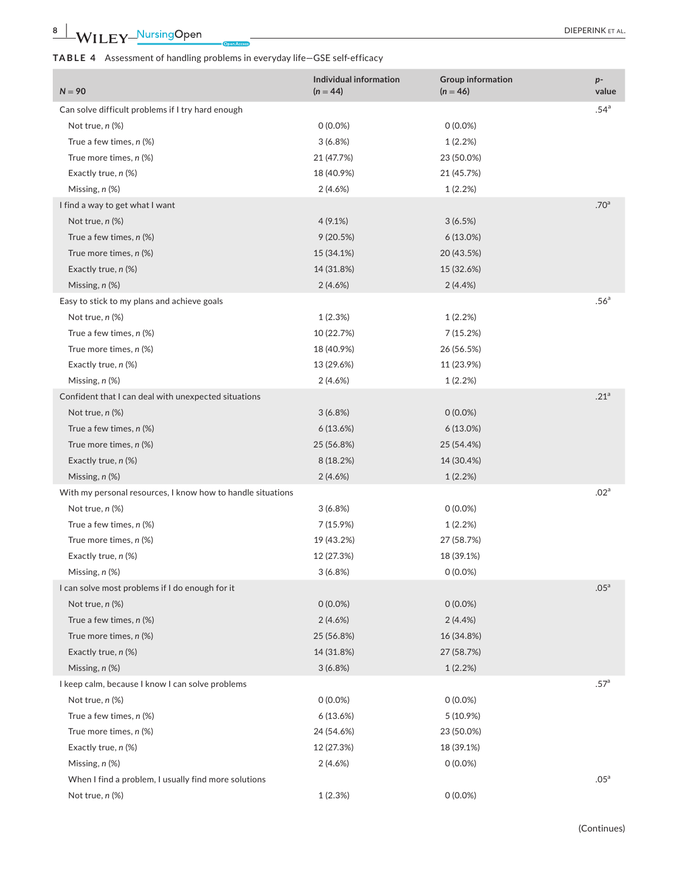# **TABLE 4** Assessment of handling problems in everyday life—GSE self-efficacy

| $N = 90$                                                    | Individual information<br>$(n = 44)$ | Group information<br>$(n = 46)$ | $p-$<br>value    |
|-------------------------------------------------------------|--------------------------------------|---------------------------------|------------------|
| Can solve difficult problems if I try hard enough           |                                      |                                 | .54 <sup>a</sup> |
| Not true, n (%)                                             | $0(0.0\%)$                           | $0(0.0\%)$                      |                  |
| True a few times, $n$ (%)                                   | 3(6.8%)                              | 1(2.2%)                         |                  |
| True more times, n (%)                                      | 21 (47.7%)                           | 23 (50.0%)                      |                  |
| Exactly true, n (%)                                         | 18 (40.9%)                           | 21 (45.7%)                      |                  |
| Missing, n (%)                                              | 2(4.6%)                              | 1(2.2%)                         |                  |
| I find a way to get what I want                             |                                      |                                 | .70 <sup>a</sup> |
| Not true, n (%)                                             | 4(9.1%)                              | 3(6.5%)                         |                  |
| True a few times, $n$ (%)                                   | 9(20.5%)                             | $6(13.0\%)$                     |                  |
| True more times, n (%)                                      | 15 (34.1%)                           | 20 (43.5%)                      |                  |
| Exactly true, n (%)                                         | 14 (31.8%)                           | 15 (32.6%)                      |                  |
| Missing, n (%)                                              | 2(4.6%)                              | 2(4.4%)                         |                  |
| Easy to stick to my plans and achieve goals                 |                                      |                                 | .56 <sup>a</sup> |
| Not true, n (%)                                             | 1(2.3%)                              | 1(2.2%)                         |                  |
| True a few times, $n$ (%)                                   | 10 (22.7%)                           | 7(15.2%)                        |                  |
| True more times, n (%)                                      | 18 (40.9%)                           | 26 (56.5%)                      |                  |
| Exactly true, n (%)                                         | 13 (29.6%)                           | 11 (23.9%)                      |                  |
| Missing, n (%)                                              | 2(4.6%)                              | 1(2.2%)                         |                  |
| Confident that I can deal with unexpected situations        |                                      |                                 | .21 <sup>a</sup> |
| Not true, $n$ $%$                                           | 3(6.8%)                              | $0(0.0\%)$                      |                  |
| True a few times, $n$ (%)                                   | 6(13.6%)                             | $6(13.0\%)$                     |                  |
| True more times, n (%)                                      | 25 (56.8%)                           | 25 (54.4%)                      |                  |
|                                                             |                                      |                                 |                  |
| Exactly true, n (%)                                         | 8(18.2%)                             | 14 (30.4%)                      |                  |
| Missing, n (%)                                              | 2(4.6%)                              | 1(2.2%)                         | .02 <sup>a</sup> |
| With my personal resources, I know how to handle situations |                                      | $0(0.0\%)$                      |                  |
| Not true, $n$ $%$                                           | 3(6.8%)                              |                                 |                  |
| True a few times, n (%)                                     | 7(15.9%)                             | 1(2.2%)                         |                  |
| True more times, n (%)                                      | 19 (43.2%)                           | 27 (58.7%)                      |                  |
| Exactly true, n (%)                                         | 12 (27.3%)                           | 18 (39.1%)                      |                  |
| Missing, $n$ $(\%)$                                         | 3(6.8%)                              | $0(0.0\%)$                      | .05 <sup>a</sup> |
| I can solve most problems if I do enough for it             |                                      |                                 |                  |
| Not true, $n$ $%$                                           | $0(0.0\%)$                           | $0(0.0\%)$                      |                  |
| True a few times, $n$ (%)                                   | 2(4.6%)                              | 2(4.4%)                         |                  |
| True more times, n (%)                                      | 25 (56.8%)                           | 16 (34.8%)                      |                  |
| Exactly true, n (%)                                         | 14 (31.8%)                           | 27 (58.7%)                      |                  |
| Missing, n (%)                                              | 3(6.8%)                              | 1(2.2%)                         |                  |
| I keep calm, because I know I can solve problems            |                                      |                                 | .57 <sup>a</sup> |
| Not true, n (%)                                             | $0(0.0\%)$                           | $0(0.0\%)$                      |                  |
| True a few times, $n$ (%)                                   | 6(13.6%)                             | 5 (10.9%)                       |                  |
| True more times, n (%)                                      | 24 (54.6%)                           | 23 (50.0%)                      |                  |
| Exactly true, n (%)                                         | 12 (27.3%)                           | 18 (39.1%)                      |                  |
| Missing, n (%)                                              | 2(4.6%)                              | $0(0.0\%)$                      |                  |
| When I find a problem, I usually find more solutions        |                                      |                                 | .05 <sup>a</sup> |
| Not true, n (%)                                             | 1(2.3%)                              | $0(0.0\%)$                      |                  |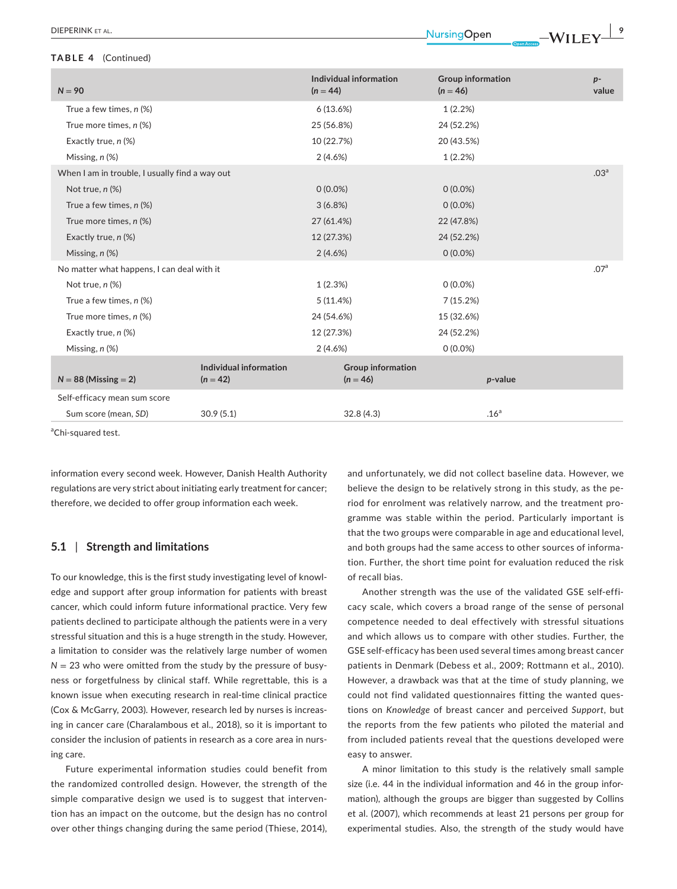#### **TABLE 4** (Continued)

| $N = 90$                                       |                                      | Individual information<br>$(n = 44)$   | <b>Group information</b><br>$(n = 46)$ | $p-$<br>value    |
|------------------------------------------------|--------------------------------------|----------------------------------------|----------------------------------------|------------------|
| True a few times, $n$ (%)                      |                                      | 6(13.6%)                               | 1(2.2%)                                |                  |
| True more times, n (%)                         |                                      | 25 (56.8%)                             | 24 (52.2%)                             |                  |
| Exactly true, n (%)                            |                                      | 10 (22.7%)                             | 20 (43.5%)                             |                  |
| Missing, n (%)                                 |                                      | 2(4.6%)                                | 1(2.2%)                                |                  |
| When I am in trouble, I usually find a way out |                                      |                                        |                                        | .03 <sup>a</sup> |
| Not true, n (%)                                |                                      | $0(0.0\%)$                             | $0(0.0\%)$                             |                  |
| True a few times, $n$ (%)                      |                                      | $3(6.8\%)$                             | $0(0.0\%)$                             |                  |
| True more times, n (%)                         |                                      | 27 (61.4%)                             | 22 (47.8%)                             |                  |
| Exactly true, n (%)                            |                                      | 12 (27.3%)                             | 24 (52.2%)                             |                  |
| Missing, $n$ $(\%)$                            |                                      | 2(4.6%)                                | $0(0.0\%)$                             |                  |
| No matter what happens, I can deal with it     |                                      |                                        |                                        | .07 <sup>a</sup> |
| Not true, $n$ $%$                              |                                      | 1(2.3%)                                | $0(0.0\%)$                             |                  |
| True a few times, $n$ (%)                      |                                      | 5(11.4%)                               | 7(15.2%)                               |                  |
| True more times, n (%)                         |                                      | 24 (54.6%)                             | 15 (32.6%)                             |                  |
| Exactly true, n (%)                            |                                      | 12 (27.3%)                             | 24 (52.2%)                             |                  |
| Missing, n (%)                                 |                                      | 2(4.6%)                                | $0(0.0\%)$                             |                  |
| $N = 88$ (Missing $= 2$ )                      | Individual information<br>$(n = 42)$ | <b>Group information</b><br>$(n = 46)$ | p-value                                |                  |
| Self-efficacy mean sum score                   |                                      |                                        |                                        |                  |
| Sum score (mean, SD)                           | 30.9(5.1)                            | 32.8(4.3)                              | .16 <sup>a</sup>                       |                  |

<sup>a</sup>Chi-squared test.

information every second week. However, Danish Health Authority regulations are very strict about initiating early treatment for cancer; therefore, we decided to offer group information each week.

# **5.1** | **Strength and limitations**

To our knowledge, this is the first study investigating level of knowledge and support after group information for patients with breast cancer, which could inform future informational practice. Very few patients declined to participate although the patients were in a very stressful situation and this is a huge strength in the study. However, a limitation to consider was the relatively large number of women  $N = 23$  who were omitted from the study by the pressure of busyness or forgetfulness by clinical staff. While regrettable, this is a known issue when executing research in real-time clinical practice (Cox & McGarry, 2003). However, research led by nurses is increasing in cancer care (Charalambous et al., 2018), so it is important to consider the inclusion of patients in research as a core area in nursing care.

Future experimental information studies could benefit from the randomized controlled design. However, the strength of the simple comparative design we used is to suggest that intervention has an impact on the outcome, but the design has no control over other things changing during the same period (Thiese, 2014), and unfortunately, we did not collect baseline data. However, we believe the design to be relatively strong in this study, as the period for enrolment was relatively narrow, and the treatment programme was stable within the period. Particularly important is that the two groups were comparable in age and educational level, and both groups had the same access to other sources of information. Further, the short time point for evaluation reduced the risk of recall bias.

Another strength was the use of the validated GSE self-efficacy scale, which covers a broad range of the sense of personal competence needed to deal effectively with stressful situations and which allows us to compare with other studies. Further, the GSE self-efficacy has been used several times among breast cancer patients in Denmark (Debess et al., 2009; Rottmann et al., 2010). However, a drawback was that at the time of study planning, we could not find validated questionnaires fitting the wanted questions on *Knowledge* of breast cancer and perceived *Support*, but the reports from the few patients who piloted the material and from included patients reveal that the questions developed were easy to answer.

A minor limitation to this study is the relatively small sample size (i.e. 44 in the individual information and 46 in the group information), although the groups are bigger than suggested by Collins et al. (2007), which recommends at least 21 persons per group for experimental studies. Also, the strength of the study would have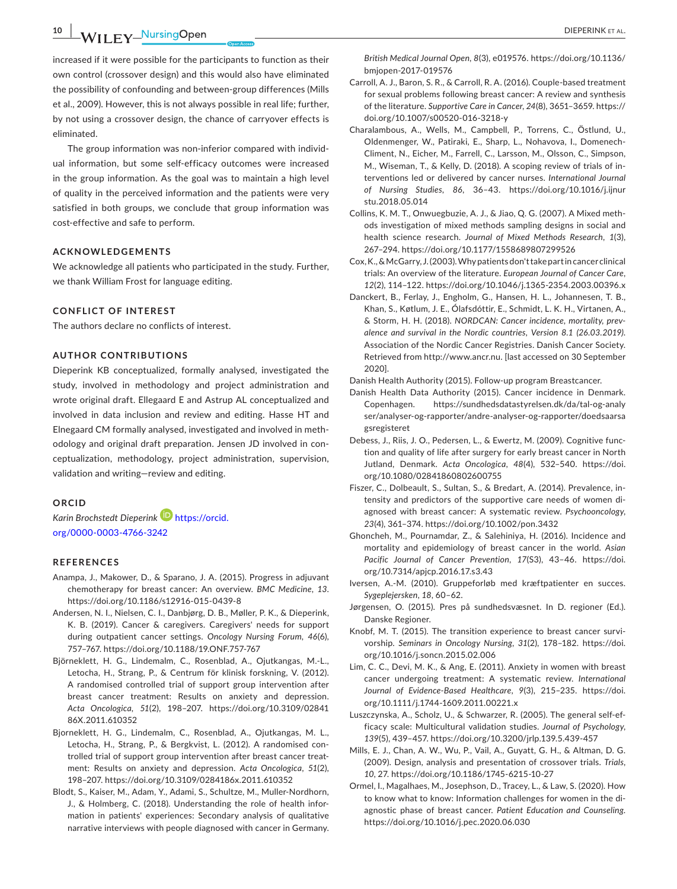**10 |**  DIEPERINK et al.

increased if it were possible for the participants to function as their own control (crossover design) and this would also have eliminated the possibility of confounding and between-group differences (Mills et al., 2009). However, this is not always possible in real life; further, by not using a crossover design, the chance of carryover effects is eliminated.

The group information was non-inferior compared with individual information, but some self-efficacy outcomes were increased in the group information. As the goal was to maintain a high level of quality in the perceived information and the patients were very satisfied in both groups, we conclude that group information was cost-effective and safe to perform.

# **ACKNOWLEDGEMENTS**

We acknowledge all patients who participated in the study. Further, we thank William Frost for language editing.

#### **CONFLICT OF INTEREST**

The authors declare no conflicts of interest.

# **AUTHOR CONTRIBUTIONS**

Dieperink KB conceptualized, formally analysed, investigated the study, involved in methodology and project administration and wrote original draft. Ellegaard E and Astrup AL conceptualized and involved in data inclusion and review and editing. Hasse HT and Elnegaard CM formally analysed, investigated and involved in methodology and original draft preparation. Jensen JD involved in conceptualization, methodology, project administration, supervision, validation and writing—review and editing.

# **ORCID**

*Karin Brochstedt Dieperink* [https://orcid.](https://orcid.org/0000-0003-4766-3242) [org/0000-0003-4766-3242](https://orcid.org/0000-0003-4766-3242)

#### **REFERENCES**

- Anampa, J., Makower, D., & Sparano, J. A. (2015). Progress in adjuvant chemotherapy for breast cancer: An overview. *BMC Medicine*, *13*. <https://doi.org/10.1186/s12916-015-0439-8>
- Andersen, N. I., Nielsen, C. I., Danbjørg, D. B., Møller, P. K., & Dieperink, K. B. (2019). Cancer & caregivers. Caregivers' needs for support during outpatient cancer settings. *Oncology Nursing Forum*, *46*(6), 757–767.<https://doi.org/10.1188/19.ONF.757-767>
- Björneklett, H. G., Lindemalm, C., Rosenblad, A., Ojutkangas, M.-L., Letocha, H., Strang, P., & Centrum för klinisk forskning, V. (2012). A randomised controlled trial of support group intervention after breast cancer treatment: Results on anxiety and depression. *Acta Oncologica*, *51*(2), 198–207. [https://doi.org/10.3109/02841](https://doi.org/10.3109/0284186X.2011.610352) [86X.2011.610352](https://doi.org/10.3109/0284186X.2011.610352)
- Bjorneklett, H. G., Lindemalm, C., Rosenblad, A., Ojutkangas, M. L., Letocha, H., Strang, P., & Bergkvist, L. (2012). A randomised controlled trial of support group intervention after breast cancer treatment: Results on anxiety and depression. *Acta Oncologica*, *51*(2), 198–207.<https://doi.org/10.3109/0284186x.2011.610352>
- Blodt, S., Kaiser, M., Adam, Y., Adami, S., Schultze, M., Muller-Nordhorn, J., & Holmberg, C. (2018). Understanding the role of health information in patients' experiences: Secondary analysis of qualitative narrative interviews with people diagnosed with cancer in Germany.

*British Medical Journal Open*, *8*(3), e019576. [https://doi.org/10.1136/](https://doi.org/10.1136/bmjopen-2017-019576) [bmjopen-2017-019576](https://doi.org/10.1136/bmjopen-2017-019576)

- Carroll, A. J., Baron, S. R., & Carroll, R. A. (2016). Couple-based treatment for sexual problems following breast cancer: A review and synthesis of the literature. *Supportive Care in Cancer*, *24*(8), 3651–3659. [https://](https://doi.org/10.1007/s00520-016-3218-y) [doi.org/10.1007/s00520-016-3218-y](https://doi.org/10.1007/s00520-016-3218-y)
- Charalambous, A., Wells, M., Campbell, P., Torrens, C., Östlund, U., Oldenmenger, W., Patiraki, E., Sharp, L., Nohavova, I., Domenech-Climent, N., Eicher, M., Farrell, C., Larsson, M., Olsson, C., Simpson, M., Wiseman, T., & Kelly, D. (2018). A scoping review of trials of interventions led or delivered by cancer nurses. *International Journal of Nursing Studies*, *86*, 36–43. [https://doi.org/10.1016/j.ijnur](https://doi.org/10.1016/j.ijnurstu.2018.05.014) [stu.2018.05.014](https://doi.org/10.1016/j.ijnurstu.2018.05.014)
- Collins, K. M. T., Onwuegbuzie, A. J., & Jiao, Q. G. (2007). A Mixed methods investigation of mixed methods sampling designs in social and health science research. *Journal of Mixed Methods Research*, *1*(3), 267–294. <https://doi.org/10.1177/1558689807299526>
- Cox, K., & McGarry, J. (2003). Why patients don't take part in cancer clinical trials: An overview of the literature. *European Journal of Cancer Care*, *12*(2), 114–122. <https://doi.org/10.1046/j.1365-2354.2003.00396.x>
- Danckert, B., Ferlay, J., Engholm, G., Hansen, H. L., Johannesen, T. B., Khan, S., Køtlum, J. E., Ólafsdóttir, E., Schmidt, L. K. H., Virtanen, A., & Storm, H. H. (2018). *NORDCAN: Cancer incidence, mortality, prevalence and survival in the Nordic countries, Version 8.1 (26.03.2019)*. Association of the Nordic Cancer Registries. Danish Cancer Society. Retrieved from<http://www.ancr.nu>. [last accessed on 30 September 2020].

Danish Health Authority (2015). Follow-up program Breastcancer.

- Danish Health Data Authority (2015). Cancer incidence in Denmark. Copenhagen. [https://sundhedsdatastyrelsen.dk/da/tal-og-analy](https://sundhedsdatastyrelsen.dk/da/tal-og-analyser/analyser-og-rapporter/andre-analyser-og-rapporter/doedsaarsagsregisteret) [ser/analyser-og-rapporter/andre-analyser-og-rapporter/doedsaarsa](https://sundhedsdatastyrelsen.dk/da/tal-og-analyser/analyser-og-rapporter/andre-analyser-og-rapporter/doedsaarsagsregisteret) [gsregisteret](https://sundhedsdatastyrelsen.dk/da/tal-og-analyser/analyser-og-rapporter/andre-analyser-og-rapporter/doedsaarsagsregisteret)
- Debess, J., Riis, J. O., Pedersen, L., & Ewertz, M. (2009). Cognitive function and quality of life after surgery for early breast cancer in North Jutland, Denmark. *Acta Oncologica*, *48*(4), 532–540. [https://doi.](https://doi.org/10.1080/02841860802600755) [org/10.1080/02841860802600755](https://doi.org/10.1080/02841860802600755)
- Fiszer, C., Dolbeault, S., Sultan, S., & Bredart, A. (2014). Prevalence, intensity and predictors of the supportive care needs of women diagnosed with breast cancer: A systematic review. *Psychooncology*, *23*(4), 361–374.<https://doi.org/10.1002/pon.3432>
- Ghoncheh, M., Pournamdar, Z., & Salehiniya, H. (2016). Incidence and mortality and epidemiology of breast cancer in the world. *Asian Pacific Journal of Cancer Prevention*, *17*(S3), 43–46. [https://doi.](https://doi.org/10.7314/apjcp.2016.17.s3.43) [org/10.7314/apjcp.2016.17.s3.43](https://doi.org/10.7314/apjcp.2016.17.s3.43)
- Iversen, A.-M. (2010). Gruppeforløb med kræftpatienter en succes. *Sygeplejersken*, *18*, 60–62.
- Jørgensen, O. (2015). Pres på sundhedsvæsnet. In D. regioner (Ed.). Danske Regioner.
- Knobf, M. T. (2015). The transition experience to breast cancer survivorship. *Seminars in Oncology Nursing*, *31*(2), 178–182. [https://doi.](https://doi.org/10.1016/j.soncn.2015.02.006) [org/10.1016/j.soncn.2015.02.006](https://doi.org/10.1016/j.soncn.2015.02.006)
- Lim, C. C., Devi, M. K., & Ang, E. (2011). Anxiety in women with breast cancer undergoing treatment: A systematic review. *International Journal of Evidence-Based Healthcare*, *9*(3), 215–235. [https://doi.](https://doi.org/10.1111/j.1744-1609.2011.00221.x) [org/10.1111/j.1744-1609.2011.00221.x](https://doi.org/10.1111/j.1744-1609.2011.00221.x)
- Luszczynska, A., Scholz, U., & Schwarzer, R. (2005). The general self-efficacy scale: Multicultural validation studies. *Journal of Psychology*, *139*(5), 439–457.<https://doi.org/10.3200/jrlp.139.5.439-457>
- Mills, E. J., Chan, A. W., Wu, P., Vail, A., Guyatt, G. H., & Altman, D. G. (2009). Design, analysis and presentation of crossover trials. *Trials*, *10*, 27.<https://doi.org/10.1186/1745-6215-10-27>
- Ormel, I., Magalhaes, M., Josephson, D., Tracey, L., & Law, S. (2020). How to know what to know: Information challenges for women in the diagnostic phase of breast cancer. *Patient Education and Counseling*. <https://doi.org/10.1016/j.pec.2020.06.030>